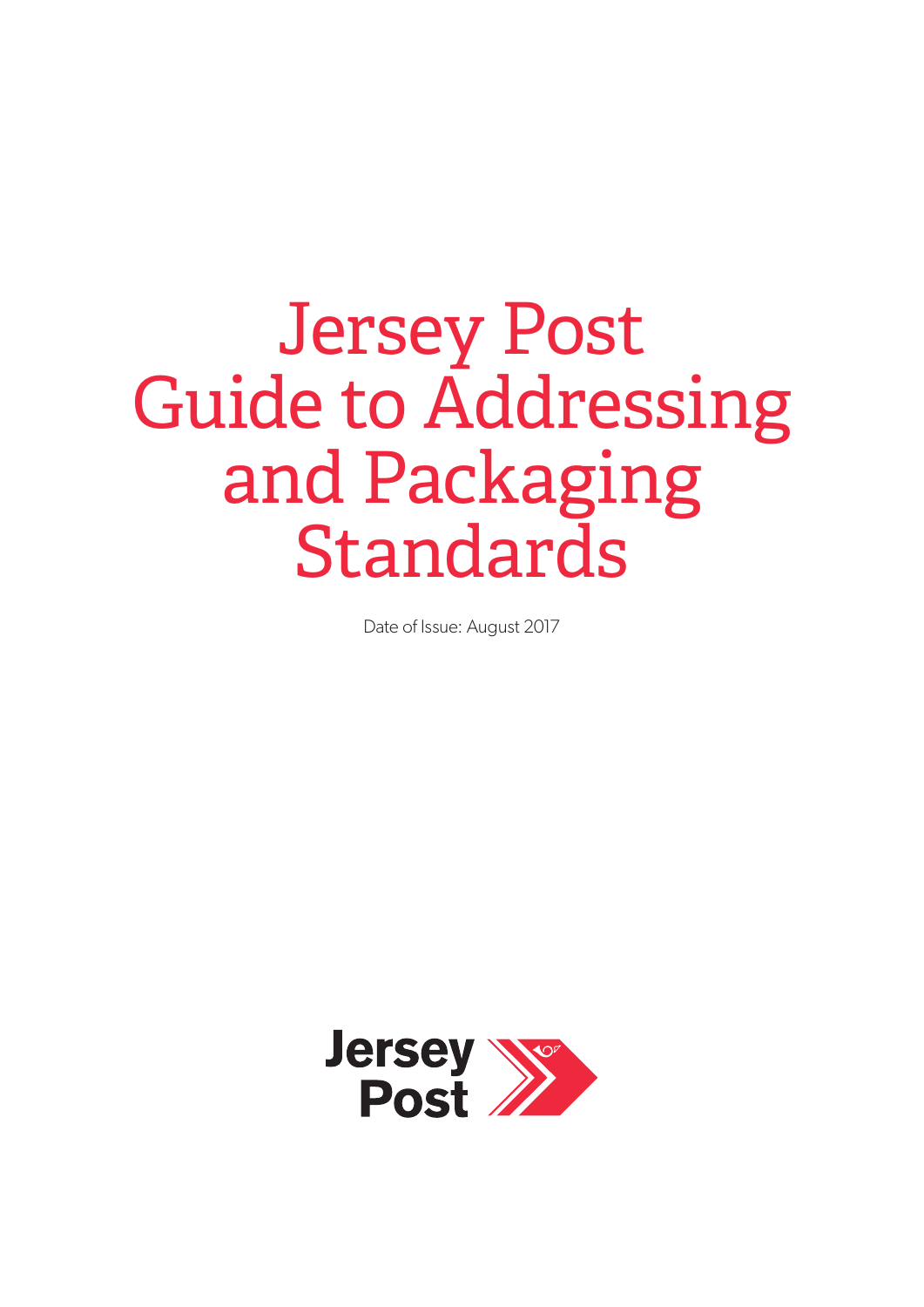# Jersey Post Guide to Addressing and Packaging Standards

Date of Issue: August 2017

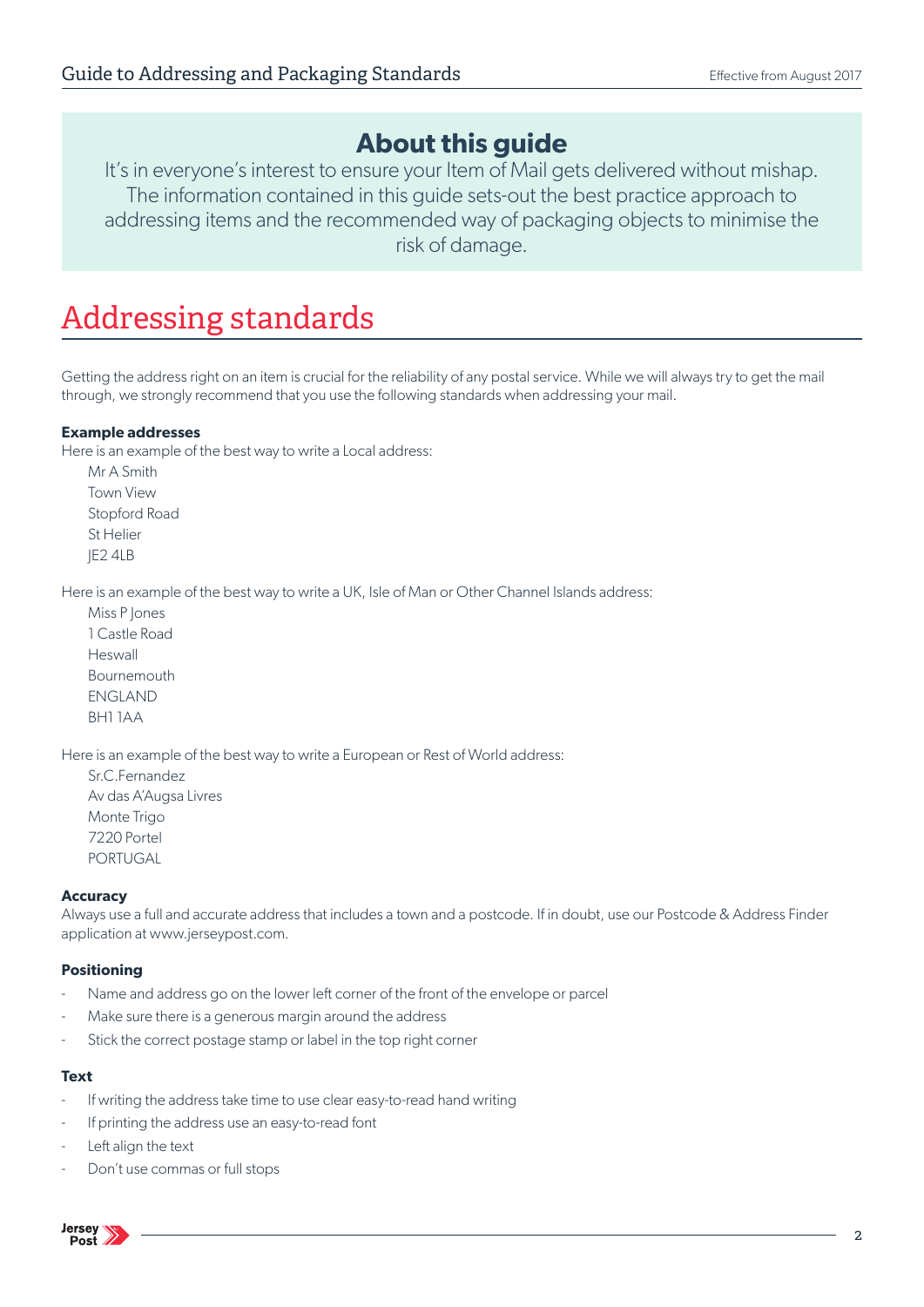### **About this guide**

It's in everyone's interest to ensure your Item of Mail gets delivered without mishap. The information contained in this guide sets-out the best practice approach to addressing items and the recommended way of packaging objects to minimise the risk of damage.

### Addressing standards

Getting the address right on an item is crucial for the reliability of any postal service. While we will always try to get the mail through, we strongly recommend that you use the following standards when addressing your mail.

#### **Example addresses**

Here is an example of the best way to write a Local address:

Mr A Smith Town View Stopford Road St Helier JE2 4LB

Here is an example of the best way to write a UK, Isle of Man or Other Channel Islands address:

Miss P Jones 1 Castle Road Heswall Bournemouth ENGLAND BH1 1AA

Here is an example of the best way to write a European or Rest of World address:

Sr.C.Fernandez Av das A'Augsa Livres Monte Trigo 7220 Portel PORTUGAL

#### **Accuracy**

Always use a full and accurate address that includes a town and a postcode. If in doubt, use our Postcode & Address Finder application at www.jerseypost.com.

#### **Positioning**

- Name and address go on the lower left corner of the front of the envelope or parcel
- Make sure there is a generous margin around the address
- Stick the correct postage stamp or label in the top right corner

#### **Text**

- If writing the address take time to use clear easy-to-read hand writing
- If printing the address use an easy-to-read font
- Left align the text
- Don't use commas or full stops

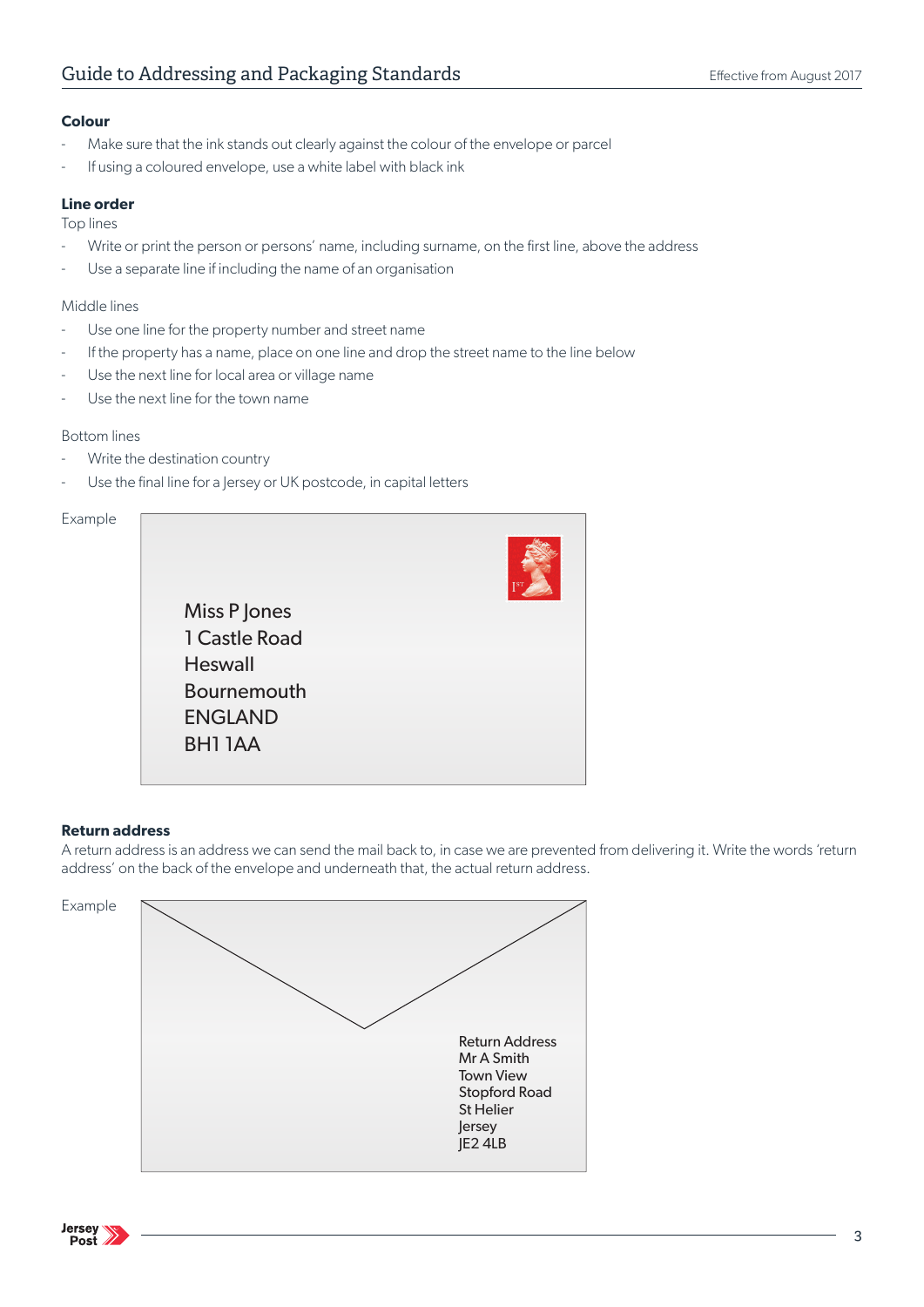#### **Colour**

- Make sure that the ink stands out clearly against the colour of the envelope or parcel
- If using a coloured envelope, use a white label with black ink

#### **Line order**

Top lines

- Write or print the person or persons' name, including surname, on the first line, above the address
- Use a separate line if including the name of an organisation

#### Middle lines

- Use one line for the property number and street name
- If the property has a name, place on one line and drop the street name to the line below
- Use the next line for local area or village name
- Use the next line for the town name

#### Bottom lines

- Write the destination country
- Use the final line for a Jersey or UK postcode, in capital letters

### Example Miss P Jones 1 Castle Road **Heswall** Bournemouth ENGLAND BH1 1AA

#### **Return address**

A return address is an address we can send the mail back to, in case we are prevented from delivering it. Write the words 'return address' on the back of the envelope and underneath that, the actual return address.

Example



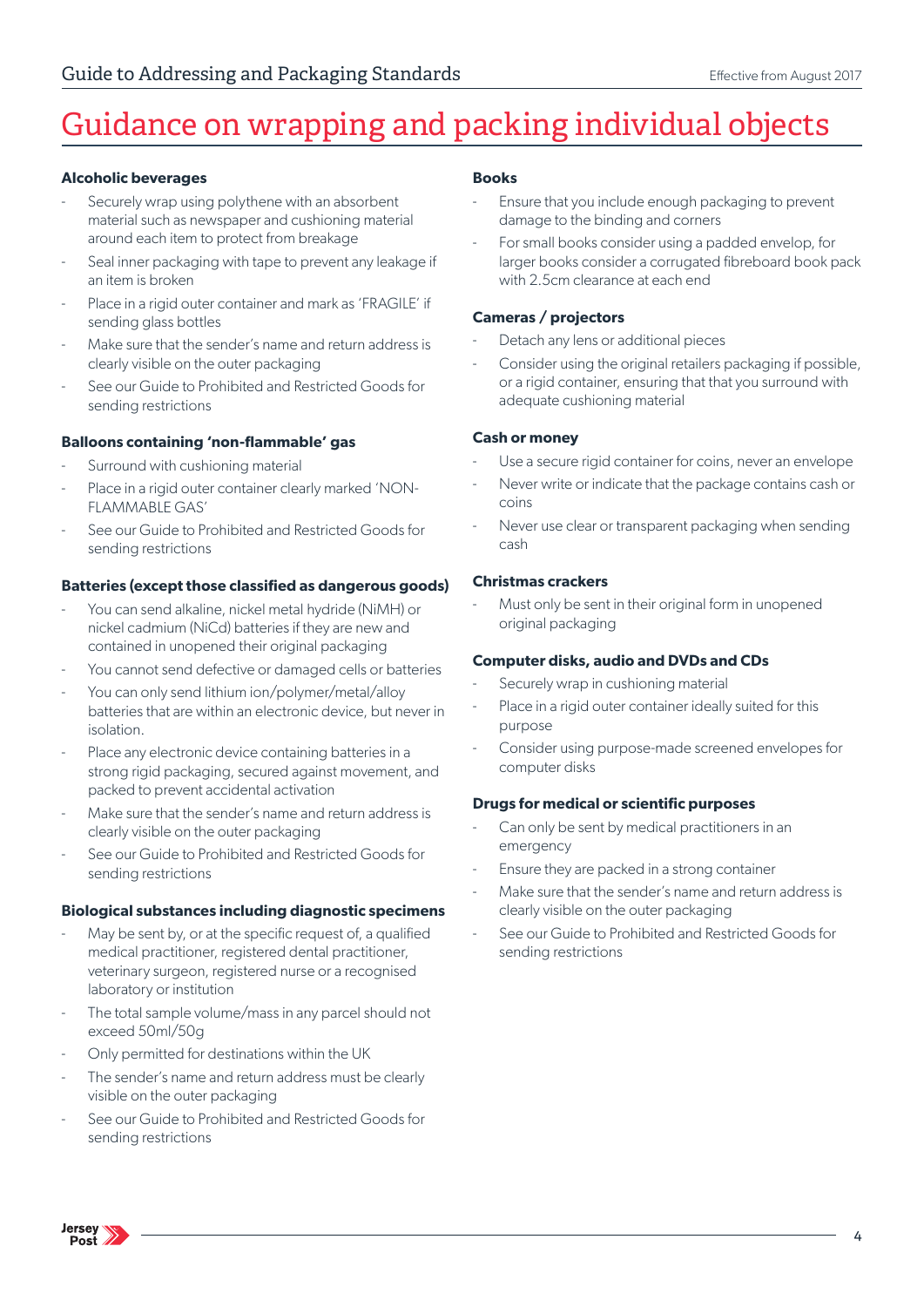## Guidance on wrapping and packing individual objects

#### **Alcoholic beverages**

- Securely wrap using polythene with an absorbent material such as newspaper and cushioning material around each item to protect from breakage
- Seal inner packaging with tape to prevent any leakage if an item is broken
- Place in a rigid outer container and mark as 'FRAGILE' if sending glass bottles
- Make sure that the sender's name and return address is clearly visible on the outer packaging
- See our Guide to Prohibited and Restricted Goods for sending restrictions

#### **Balloons containing 'non-flammable' gas**

- Surround with cushioning material
- Place in a rigid outer container clearly marked 'NON-FLAMMABLE GAS'
- See our Guide to Prohibited and Restricted Goods for sending restrictions

#### **Batteries (except those classified as dangerous goods)**

- You can send alkaline, nickel metal hydride (NiMH) or nickel cadmium (NiCd) batteries if they are new and contained in unopened their original packaging
- You cannot send defective or damaged cells or batteries
- You can only send lithium ion/polymer/metal/alloy batteries that are within an electronic device, but never in isolation.
- Place any electronic device containing batteries in a strong rigid packaging, secured against movement, and packed to prevent accidental activation
- Make sure that the sender's name and return address is clearly visible on the outer packaging
- See our Guide to Prohibited and Restricted Goods for sending restrictions

#### **Biological substances including diagnostic specimens**

- May be sent by, or at the specific request of, a qualified medical practitioner, registered dental practitioner, veterinary surgeon, registered nurse or a recognised laboratory or institution
- The total sample volume/mass in any parcel should not exceed 50ml/50g
- Only permitted for destinations within the UK
- The sender's name and return address must be clearly visible on the outer packaging
- See our Guide to Prohibited and Restricted Goods for sending restrictions

#### **Books**

- Ensure that you include enough packaging to prevent damage to the binding and corners
- For small books consider using a padded envelop, for larger books consider a corrugated fibreboard book pack with 2.5cm clearance at each end

#### **Cameras / projectors**

- Detach any lens or additional pieces
- Consider using the original retailers packaging if possible, or a rigid container, ensuring that that you surround with adequate cushioning material

#### **Cash or money**

- Use a secure rigid container for coins, never an envelope
- Never write or indicate that the package contains cash or coins
- Never use clear or transparent packaging when sending cash

#### **Christmas crackers**

Must only be sent in their original form in unopened original packaging

#### **Computer disks, audio and DVDs and CDs**

- Securely wrap in cushioning material
- Place in a rigid outer container ideally suited for this purpose
- Consider using purpose-made screened envelopes for computer disks

#### **Drugs for medical or scientific purposes**

- Can only be sent by medical practitioners in an emergency
- Ensure they are packed in a strong container
- Make sure that the sender's name and return address is clearly visible on the outer packaging
- See our Guide to Prohibited and Restricted Goods for sending restrictions

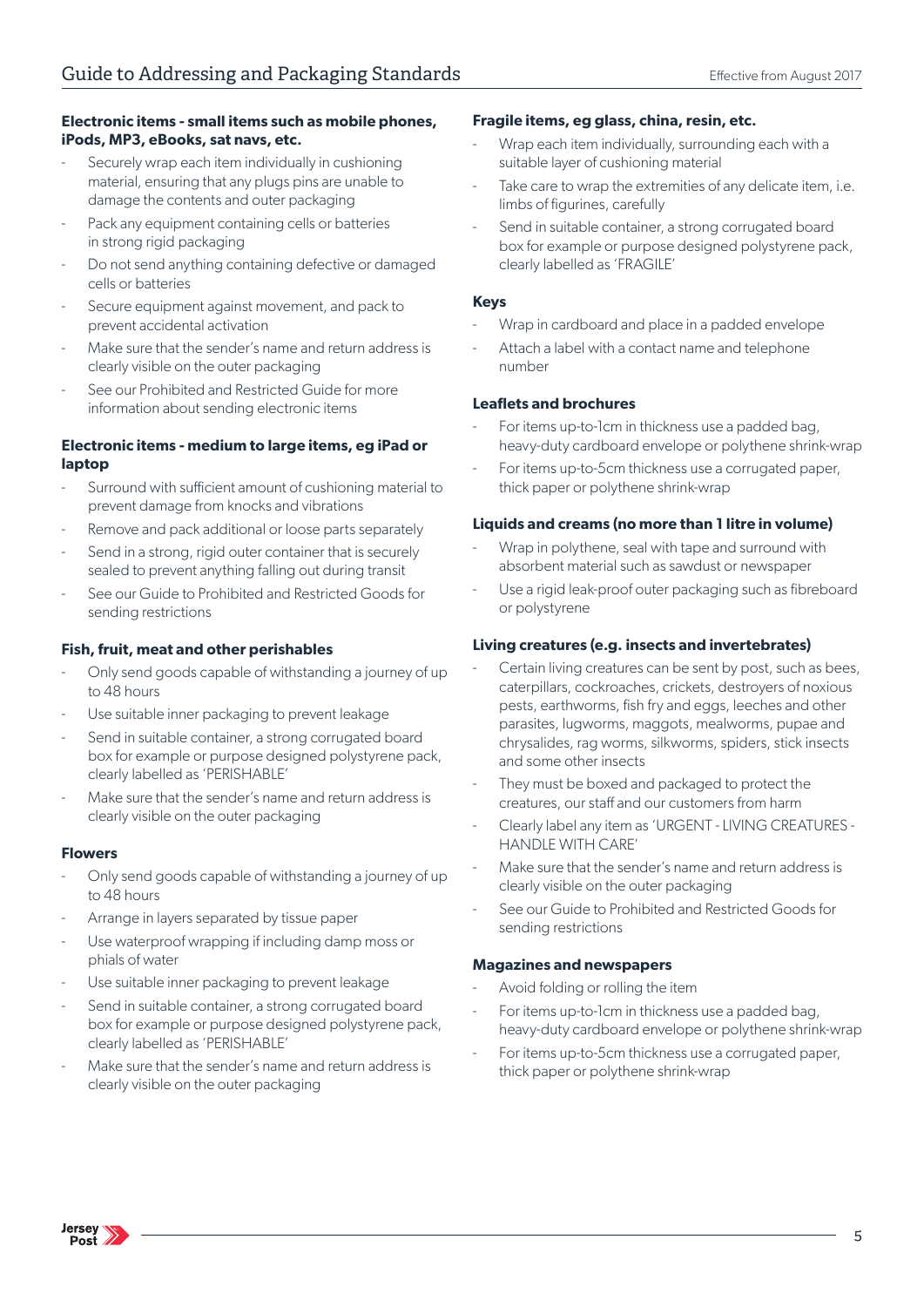#### **Electronic items - small items such as mobile phones, iPods, MP3, eBooks, sat navs, etc.**

- Securely wrap each item individually in cushioning material, ensuring that any plugs pins are unable to damage the contents and outer packaging
- Pack any equipment containing cells or batteries in strong rigid packaging
- Do not send anything containing defective or damaged cells or batteries
- Secure equipment against movement, and pack to prevent accidental activation
- Make sure that the sender's name and return address is clearly visible on the outer packaging
- See our Prohibited and Restricted Guide for more information about sending electronic items

#### **Electronic items - medium to large items, eg iPad or laptop**

- Surround with sufficient amount of cushioning material to prevent damage from knocks and vibrations
- Remove and pack additional or loose parts separately
- Send in a strong, rigid outer container that is securely sealed to prevent anything falling out during transit
- See our Guide to Prohibited and Restricted Goods for sending restrictions

#### **Fish, fruit, meat and other perishables**

- Only send goods capable of withstanding a journey of up to 48 hours
- Use suitable inner packaging to prevent leakage
- Send in suitable container, a strong corrugated board box for example or purpose designed polystyrene pack, clearly labelled as 'PERISHABLE'
- Make sure that the sender's name and return address is clearly visible on the outer packaging

#### **Flowers**

- Only send goods capable of withstanding a journey of up to 48 hours
- Arrange in layers separated by tissue paper
- Use waterproof wrapping if including damp moss or phials of water
- Use suitable inner packaging to prevent leakage
- Send in suitable container, a strong corrugated board box for example or purpose designed polystyrene pack, clearly labelled as 'PERISHABLE'
- Make sure that the sender's name and return address is clearly visible on the outer packaging

#### **Fragile items, eg glass, china, resin, etc.**

- Wrap each item individually, surrounding each with a suitable layer of cushioning material
- Take care to wrap the extremities of any delicate item, i.e. limbs of figurines, carefully
- Send in suitable container, a strong corrugated board box for example or purpose designed polystyrene pack, clearly labelled as 'FRAGILE'

#### **Keys**

- Wrap in cardboard and place in a padded envelope
- Attach a label with a contact name and telephone number

#### **Leaflets and brochures**

- For items up-to-1cm in thickness use a padded bag. heavy-duty cardboard envelope or polythene shrink-wrap
- For items up-to-5cm thickness use a corrugated paper, thick paper or polythene shrink-wrap

#### **Liquids and creams (no more than 1 litre in volume)**

- Wrap in polythene, seal with tape and surround with absorbent material such as sawdust or newspaper
- Use a rigid leak-proof outer packaging such as fibreboard or polystyrene

#### **Living creatures (e.g. insects and invertebrates)**

- Certain living creatures can be sent by post, such as bees, caterpillars, cockroaches, crickets, destroyers of noxious pests, earthworms, fish fry and eggs, leeches and other parasites, lugworms, maggots, mealworms, pupae and chrysalides, rag worms, silkworms, spiders, stick insects and some other insects
- They must be boxed and packaged to protect the creatures, our staff and our customers from harm
- Clearly label any item as 'URGENT LIVING CREATURES HANDLE WITH CARE'
- Make sure that the sender's name and return address is clearly visible on the outer packaging
- See our Guide to Prohibited and Restricted Goods for sending restrictions

#### **Magazines and newspapers**

- Avoid folding or rolling the item
- For items up-to-1cm in thickness use a padded bag, heavy-duty cardboard envelope or polythene shrink-wrap
- For items up-to-5cm thickness use a corrugated paper, thick paper or polythene shrink-wrap